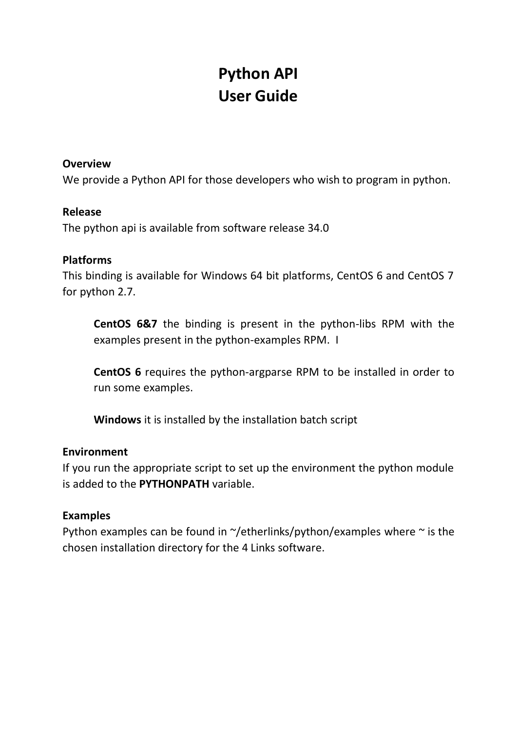# **Python API User Guide**

### **Overview**

We provide a Python API for those developers who wish to program in python.

## **Release**

The python api is available from software release 34.0

## **Platforms**

This binding is available for Windows 64 bit platforms, CentOS 6 and CentOS 7 for python 2.7.

**CentOS 6&7** the binding is present in the python-libs RPM with the examples present in the python-examples RPM. I

**CentOS 6** requires the python-argparse RPM to be installed in order to run some examples.

**Windows** it is installed by the installation batch script

## **Environment**

If you run the appropriate script to set up the environment the python module is added to the **PYTHONPATH** variable.

## **Examples**

Python examples can be found in  $\gamma$ /etherlinks/python/examples where  $\gamma$  is the chosen installation directory for the 4 Links software.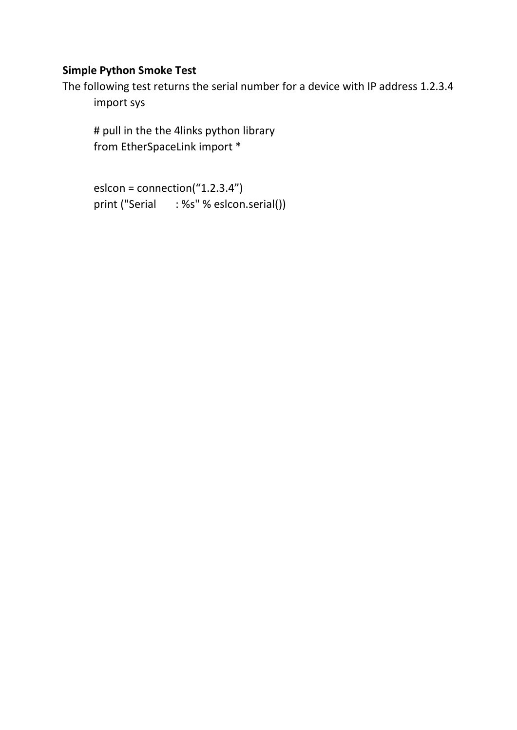# **Simple Python Smoke Test**

The following test returns the serial number for a device with IP address 1.2.3.4 import sys

# pull in the the 4links python library from EtherSpaceLink import \*

```
eslcon = connection("1.2.3.4")
print ("Serial : %s" % eslcon.serial())
```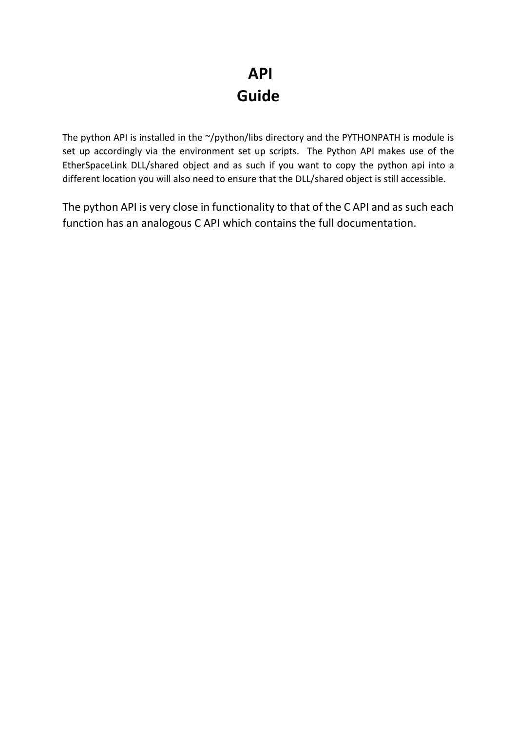# **API Guide**

The python API is installed in the  $\gamma$ /python/libs directory and the PYTHONPATH is module is set up accordingly via the environment set up scripts. The Python API makes use of the EtherSpaceLink DLL/shared object and as such if you want to copy the python api into a different location you will also need to ensure that the DLL/shared object is still accessible.

The python API is very close in functionality to that of the C API and as such each function has an analogous C API which contains the full documentation.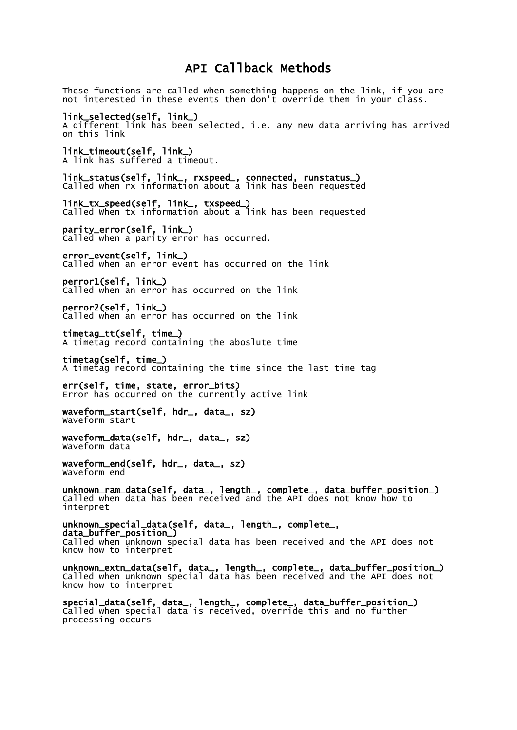# API Callback Methods

These functions are called when something happens on the link, if you are not interested in these events then don't override them in your class. link\_selected(self, link\_) A different link has been selected, i.e. any new data arriving has arrived on this link link\_timeout(self, link\_) A link has suffered a timeout. link\_status(self, link\_, rxspeed\_, connected, runstatus\_) Called when rx information about a link has been requested link\_tx\_speed(self, link\_, txspeed\_) Called When tx information about a link has been requested parity\_error(self, link\_) Called when a parity error has occurred. error\_event(self, link\_) Called when an error event has occurred on the link perror1(self, link\_) Called when an error has occurred on the link perror2(self, link\_) Called when an error has occurred on the link timetag\_tt(self, time\_) A timetag record containing the aboslute time timetag(self, time\_) A timetag record containing the time since the last time tag err(self, time, state, error\_bits) Error has occurred on the currently active link waveform\_start(self, hdr\_, data\_, sz) Waveform start waveform\_data(self, hdr\_, data\_, sz) Waveform data waveform\_end(self, hdr\_, data\_, sz) Waveform end unknown\_ram\_data(self, data\_, length\_, complete\_, data\_buffer\_position\_) Called when data has been received and the API does not know how to interpret unknown\_special\_data(self, data\_, length\_, complete\_,

data\_buffer\_position\_) Called when unknown special data has been received and the API does not know how to interpret

unknown\_extn\_data(self, data\_, length\_, complete\_, data\_buffer\_position\_) Called when unknown special data has been received and the API does not know how to interpret

special\_data(self, data\_, length\_, complete\_, data\_buffer\_position\_) Called when special data is received, override this and no further processing occurs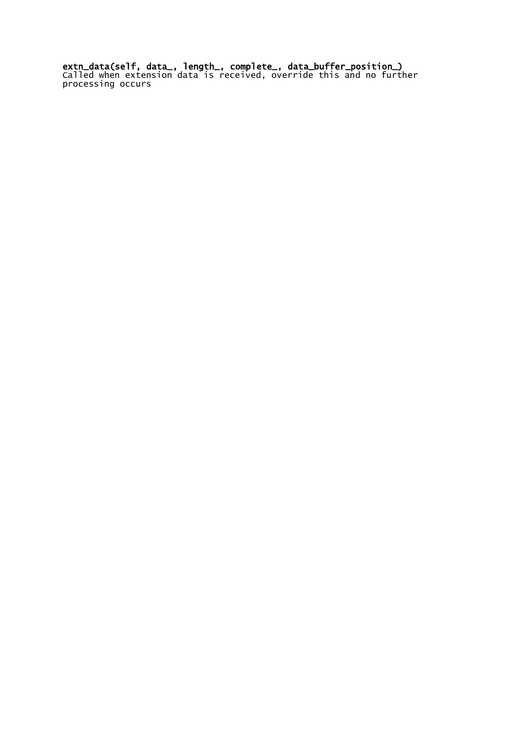extn\_data(self, data\_, length\_, complete\_, data\_buffer\_position\_) Called when extension data is received, override this and no further processing occurs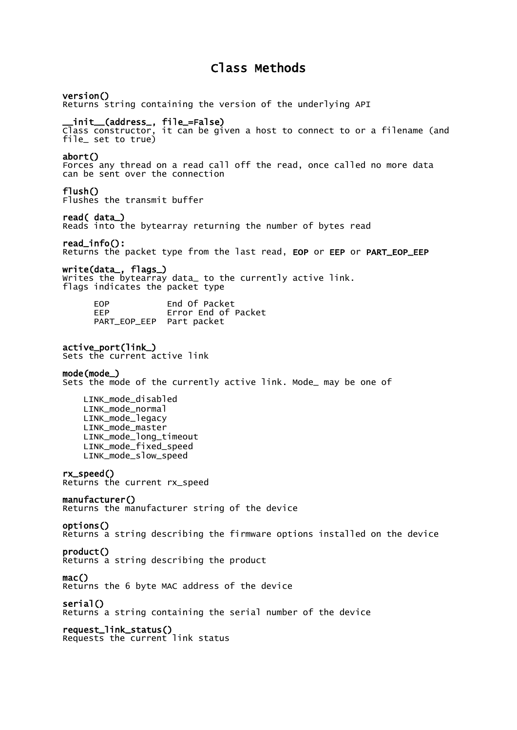# Class Methods

#### version()

Returns string containing the version of the underlying API

#### \_\_init\_\_(address\_, file\_=False)

Class constructor, it can be given a host to connect to or a filename (and file\_ set to true)

#### abort()

Forces any thread on a read call off the read, once called no more data can be sent over the connection

#### flush()

Flushes the transmit buffer

#### read( data\_)

Reads into the bytearray returning the number of bytes read

#### read\_info():

Returns the packet type from the last read, EOP or EEP or PART\_EOP\_EEP

#### write(data\_, flags\_)

Writes the bytearray data\_ to the currently active link. flags indicates the packet type

| <b>FOP</b>               | End Of Packet       |
|--------------------------|---------------------|
| FFP                      | Error End of Packet |
| PART_EOP_EEP Part packet |                     |

#### active\_port(link\_)

Sets the current active link

#### mode(mode\_)

Sets the mode of the currently active link. Mode\_ may be one of

 LINK\_mode\_disabled LINK mode normal LINK\_mode\_legacy LINK\_mode\_master LINK\_mode\_long\_timeout LINK\_mode\_fixed\_speed LINK\_mode\_slow\_speed

#### rx\_speed()

Returns the current rx\_speed

#### manufacturer()

Returns the manufacturer string of the device

#### options()

Returns a string describing the firmware options installed on the device

#### product()

Returns a string describing the product

#### mac()

Returns the 6 byte MAC address of the device

#### $serial()$

Returns a string containing the serial number of the device

#### request\_link\_status()

Requests the current link status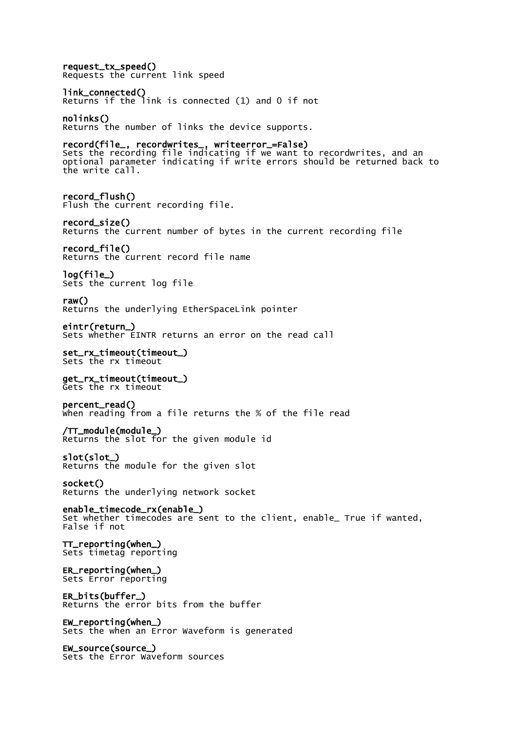request\_tx\_speed() Requests the current link speed link\_connected() Returns if the link is connected (1) and 0 if not nolinks() Returns the number of links the device supports. record(file\_, recordwrites\_, writeerror\_=False) Sets the recording file indicating if we want to recordwrites, and an optional parameter indicating if write errors should be returned back to the write call. record\_flush() Flush the current recording file. record\_size() Returns the current number of bytes in the current recording file record\_file() Returns the current record file name log(file\_) Sets the current log file raw() Returns the underlying EtherSpaceLink pointer eintr(return\_) Sets whether EINTR returns an error on the read call set\_rx\_timeout(timeout\_) Sets the rx timeout get\_rx\_timeout(timeout\_) Gets the rx timeout percent\_read() When reading from a file returns the % of the file read /TT\_module(module\_) Returns the slot for the given module id slot(slot\_) Returns the module for the given slot socket() Returns the underlying network socket enable\_timecode\_rx(enable\_) Set whether timecodes are sent to the client, enable\_ True if wanted, False if not TT\_reporting(when\_) Sets timetag reporting ER\_reporting(when\_) Sets Error reporting ER\_bits(buffer\_) Returns the error bits from the buffer EW\_reporting(when\_) Sets the when an Error Waveform is generated EW\_source(source\_)

Sets the Error Waveform sources